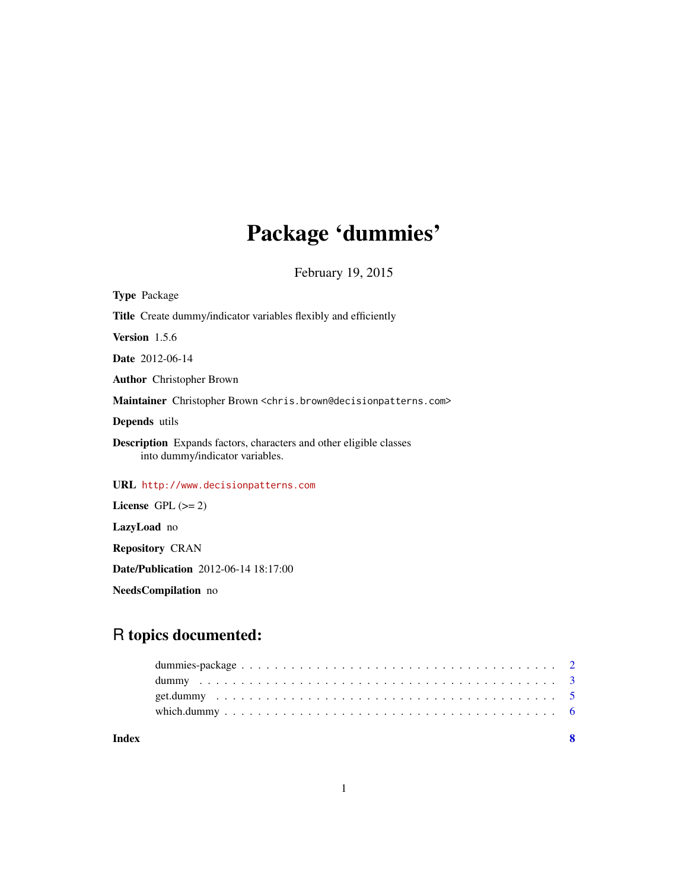# Package 'dummies'

February 19, 2015

<span id="page-0-0"></span>

| <b>Type Package</b>                                                                                          |
|--------------------------------------------------------------------------------------------------------------|
| <b>Title</b> Create dummy/indicator variables flexibly and efficiently                                       |
| <b>Version</b> 1.5.6                                                                                         |
| Date 2012-06-14                                                                                              |
| <b>Author</b> Christopher Brown                                                                              |
| Maintainer Christopher Brown <chris.brown@decisionpatterns.com></chris.brown@decisionpatterns.com>           |
| <b>Depends</b> utils                                                                                         |
| <b>Description</b> Expands factors, characters and other eligible classes<br>into dummy/indicator variables. |
| URL http://www.decisionpatterns.com                                                                          |
| License $GPL (= 2)$                                                                                          |
| LazyLoad no                                                                                                  |
| <b>Repository CRAN</b>                                                                                       |

Date/Publication 2012-06-14 18:17:00

NeedsCompilation no

# R topics documented:

| Index |  |
|-------|--|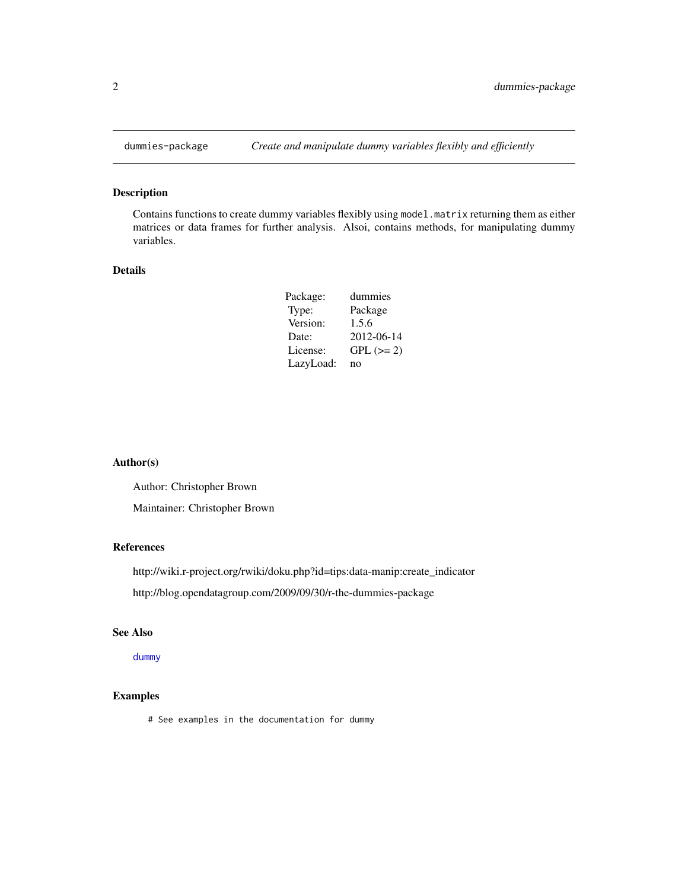<span id="page-1-0"></span>

#### Description

Contains functions to create dummy variables flexibly using model.matrix returning them as either matrices or data frames for further analysis. Alsoi, contains methods, for manipulating dummy variables.

#### Details

| Package:  | dummies     |
|-----------|-------------|
| Type:     | Package     |
| Version:  | 1.5.6       |
| Date:     | 2012-06-14  |
| License:  | $GPL (= 2)$ |
| LazyLoad: | no          |

#### Author(s)

Author: Christopher Brown

Maintainer: Christopher Brown

#### References

http://wiki.r-project.org/rwiki/doku.php?id=tips:data-manip:create\_indicator

http://blog.opendatagroup.com/2009/09/30/r-the-dummies-package

#### See Also

[dummy](#page-2-1)

#### Examples

# See examples in the documentation for dummy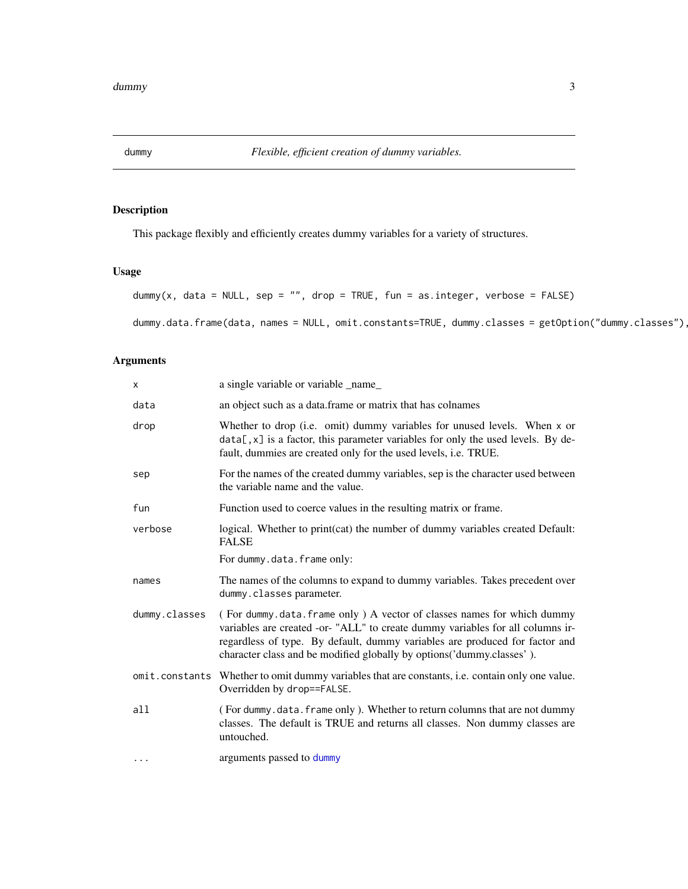<span id="page-2-1"></span><span id="page-2-0"></span>

# <span id="page-2-2"></span>Description

This package flexibly and efficiently creates dummy variables for a variety of structures.

### Usage

```
dummy(x, data = NULL, sep = "", drop = TRUE, fun = as.integer, verbose = FALSE)
```
dummy.data.frame(data, names = NULL, omit.constants=TRUE, dummy.classes = getOption("dummy.classes")

# Arguments

| $\mathsf{x}$  | a single variable or variable _name_                                                                                                                                                                                                                                                                             |
|---------------|------------------------------------------------------------------------------------------------------------------------------------------------------------------------------------------------------------------------------------------------------------------------------------------------------------------|
| data          | an object such as a data. frame or matrix that has colnames                                                                                                                                                                                                                                                      |
| drop          | Whether to drop (i.e. omit) dummy variables for unused levels. When x or<br>$data[, x]$ is a factor, this parameter variables for only the used levels. By de-<br>fault, dummies are created only for the used levels, i.e. TRUE.                                                                                |
| sep           | For the names of the created dummy variables, sep is the character used between<br>the variable name and the value.                                                                                                                                                                                              |
| fun           | Function used to coerce values in the resulting matrix or frame.                                                                                                                                                                                                                                                 |
| verbose       | logical. Whether to print(cat) the number of dummy variables created Default:<br><b>FALSE</b>                                                                                                                                                                                                                    |
|               | For dummy.data.frame only:                                                                                                                                                                                                                                                                                       |
| names         | The names of the columns to expand to dummy variables. Takes precedent over<br>dummy.classes parameter.                                                                                                                                                                                                          |
| dummy.classes | (For dummy.data.frame only) A vector of classes names for which dummy<br>variables are created -or- "ALL" to create dummy variables for all columns ir-<br>regardless of type. By default, dummy variables are produced for factor and<br>character class and be modified globally by options ('dummy.classes'). |
|               | omit.constants Whether to omit dummy variables that are constants, i.e. contain only one value.<br>Overridden by drop==FALSE.                                                                                                                                                                                    |
| a11           | (For dummy.data.frame only). Whether to return columns that are not dummy                                                                                                                                                                                                                                        |
|               | classes. The default is TRUE and returns all classes. Non dummy classes are<br>untouched.                                                                                                                                                                                                                        |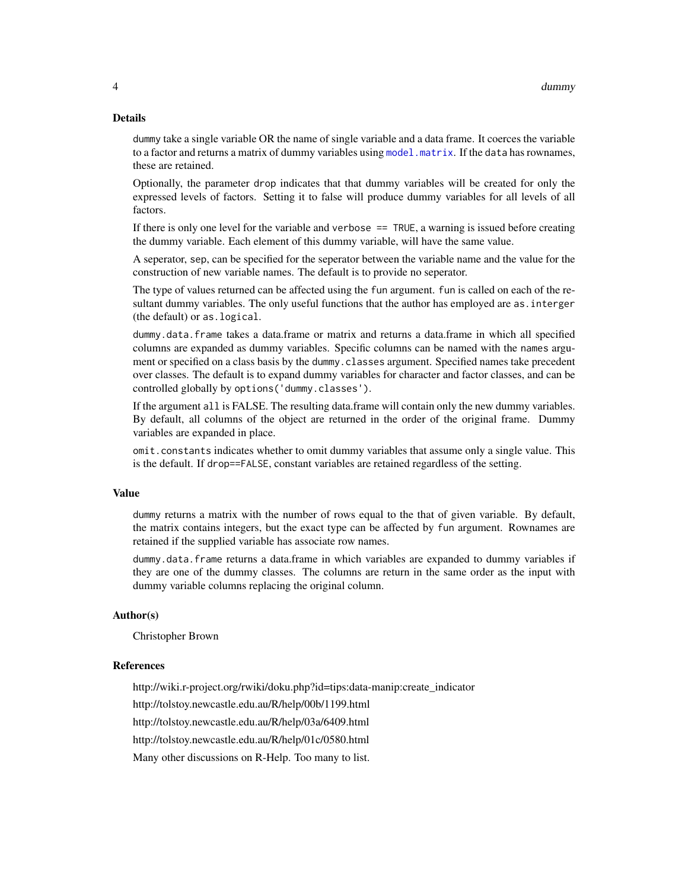#### <span id="page-3-0"></span>Details

dummy take a single variable OR the name of single variable and a data frame. It coerces the variable to a factor and returns a matrix of dummy variables using  $model$ . matrix. If the data has rownames, these are retained.

Optionally, the parameter drop indicates that that dummy variables will be created for only the expressed levels of factors. Setting it to false will produce dummy variables for all levels of all factors.

If there is only one level for the variable and verbose  $=$  TRUE, a warning is issued before creating the dummy variable. Each element of this dummy variable, will have the same value.

A seperator, sep, can be specified for the seperator between the variable name and the value for the construction of new variable names. The default is to provide no seperator.

The type of values returned can be affected using the fun argument. fun is called on each of the resultant dummy variables. The only useful functions that the author has employed are as.interger (the default) or as.logical.

dummy.data.frame takes a data.frame or matrix and returns a data.frame in which all specified columns are expanded as dummy variables. Specific columns can be named with the names argument or specified on a class basis by the dummy.classes argument. Specified names take precedent over classes. The default is to expand dummy variables for character and factor classes, and can be controlled globally by options('dummy.classes').

If the argument all is FALSE. The resulting data.frame will contain only the new dummy variables. By default, all columns of the object are returned in the order of the original frame. Dummy variables are expanded in place.

omit.constants indicates whether to omit dummy variables that assume only a single value. This is the default. If drop==FALSE, constant variables are retained regardless of the setting.

#### Value

dummy returns a matrix with the number of rows equal to the that of given variable. By default, the matrix contains integers, but the exact type can be affected by fun argument. Rownames are retained if the supplied variable has associate row names.

dummy.data.frame returns a data.frame in which variables are expanded to dummy variables if they are one of the dummy classes. The columns are return in the same order as the input with dummy variable columns replacing the original column.

#### Author(s)

Christopher Brown

#### References

http://wiki.r-project.org/rwiki/doku.php?id=tips:data-manip:create\_indicator

http://tolstoy.newcastle.edu.au/R/help/00b/1199.html

http://tolstoy.newcastle.edu.au/R/help/03a/6409.html

http://tolstoy.newcastle.edu.au/R/help/01c/0580.html

Many other discussions on R-Help. Too many to list.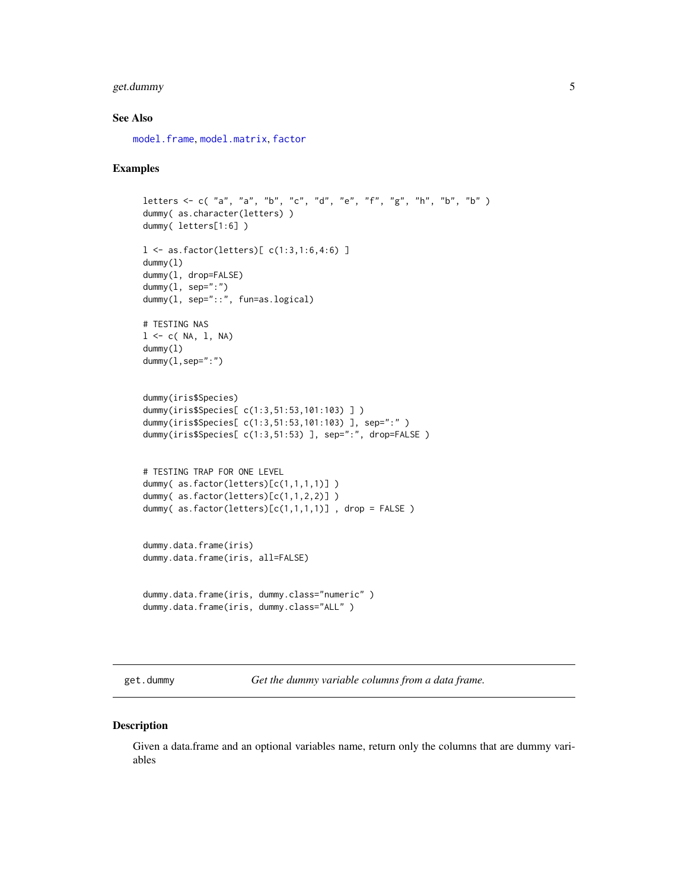#### <span id="page-4-0"></span>get.dummy 5

#### See Also

[model.frame](#page-0-0), [model.matrix](#page-0-0), [factor](#page-0-0)

#### Examples

```
letters <- c( "a", "a", "b", "c", "d", "e", "f", "g", "h", "b", "b" )
dummy( as.character(letters) )
dummy( letters[1:6] )
l <- as.factor(letters)[ c(1:3,1:6,4:6) ]
dummy(l)
dummy(l, drop=FALSE)
dummy(1, sep=":")
dummy(l, sep="::", fun=as.logical)
# TESTING NAS
l \leq c ( NA, l, NA)
dummy(l)
dummy(1,sep=":")
dummy(iris$Species)
dummy(iris$Species[ c(1:3,51:53,101:103) ] )
dummy(iris$Species[ c(1:3,51:53,101:103) ], sep=":" )
dummy(iris$Species[ c(1:3,51:53) ], sep=":", drop=FALSE )
# TESTING TRAP FOR ONE LEVEL
dummy( as.factor(letters)[c(1,1,1,1)] )
dummy( as.factor(letters)[c(1,1,2,2)] )
dummy( as.factor(letters)[c(1,1,1,1)] , drop = FALSE )
dummy.data.frame(iris)
dummy.data.frame(iris, all=FALSE)
dummy.data.frame(iris, dummy.class="numeric" )
dummy.data.frame(iris, dummy.class="ALL" )
```
get.dummy *Get the dummy variable columns from a data frame.*

#### Description

Given a data.frame and an optional variables name, return only the columns that are dummy variables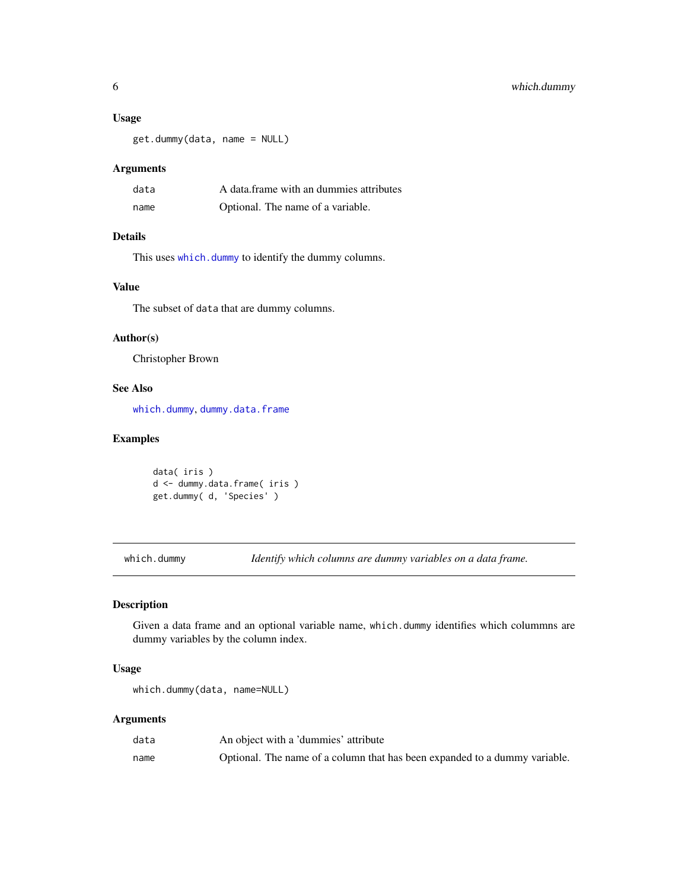#### <span id="page-5-0"></span>Usage

get.dummy(data, name = NULL)

#### Arguments

| data | A data frame with an dummies attributes |
|------|-----------------------------------------|
| name | Optional. The name of a variable.       |

# Details

This uses [which.dummy](#page-5-1) to identify the dummy columns.

#### Value

The subset of data that are dummy columns.

#### Author(s)

Christopher Brown

#### See Also

[which.dummy](#page-5-1), [dummy.data.frame](#page-2-2)

#### Examples

```
data( iris )
d <- dummy.data.frame( iris )
get.dummy( d, 'Species' )
```
<span id="page-5-1"></span>which.dummy *Identify which columns are dummy variables on a data frame.*

#### Description

Given a data frame and an optional variable name, which.dummy identifies which colummns are dummy variables by the column index.

#### Usage

```
which.dummy(data, name=NULL)
```
#### Arguments

| data | An object with a 'dummies' attribute                                       |
|------|----------------------------------------------------------------------------|
| name | Optional. The name of a column that has been expanded to a dummy variable. |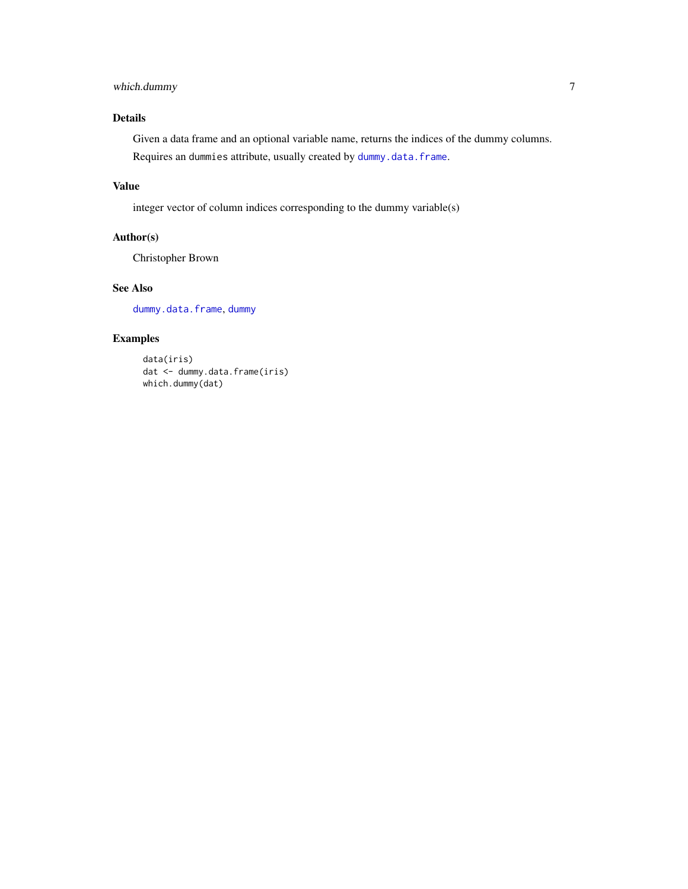# <span id="page-6-0"></span>which.dummy 7

### Details

Given a data frame and an optional variable name, returns the indices of the dummy columns. Requires an dummies attribute, usually created by [dummy.data.frame](#page-2-2).

#### Value

integer vector of column indices corresponding to the dummy variable(s)

#### Author(s)

Christopher Brown

#### See Also

[dummy.data.frame](#page-2-2), [dummy](#page-2-1)

#### Examples

```
data(iris)
dat <- dummy.data.frame(iris)
which.dummy(dat)
```